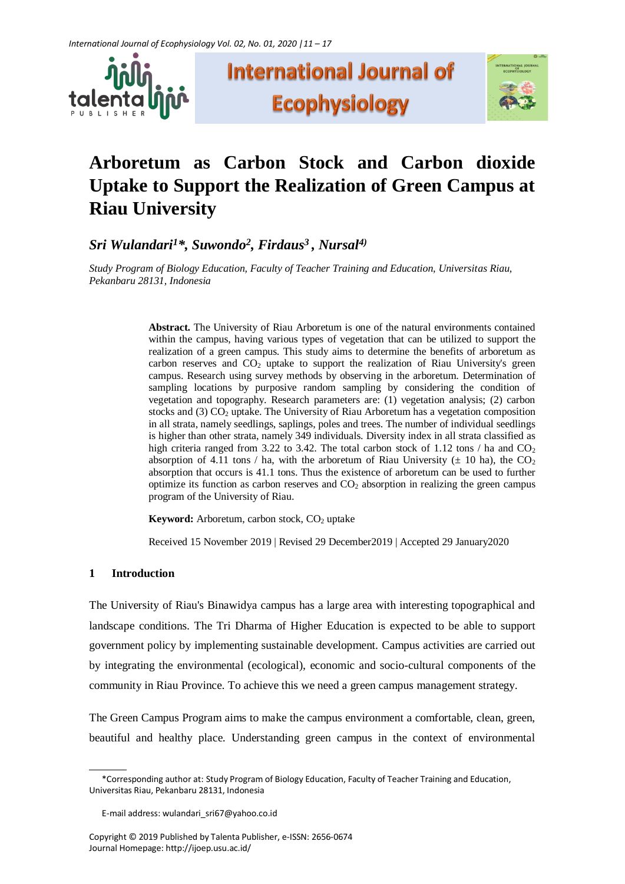





# **Arboretum as Carbon Stock and Carbon dioxide Uptake to Support the Realization of Green Campus at Riau University**

*Sri Wulandari<sup>1</sup>\*, Suwondo<sup>2</sup> , Firdaus<sup>3</sup> , Nursal4)*

*Study Program of Biology Education, Faculty of Teacher Training and Education, Universitas Riau, Pekanbaru 28131, Indonesia*

> **Abstract.** The University of Riau Arboretum is one of the natural environments contained within the campus, having various types of vegetation that can be utilized to support the realization of a green campus. This study aims to determine the benefits of arboretum as carbon reserves and  $CO<sub>2</sub>$  uptake to support the realization of Riau University's green campus. Research using survey methods by observing in the arboretum. Determination of sampling locations by purposive random sampling by considering the condition of vegetation and topography. Research parameters are: (1) vegetation analysis; (2) carbon stocks and (3)  $CO<sub>2</sub>$  uptake. The University of Riau Arboretum has a vegetation composition in all strata, namely seedlings, saplings, poles and trees. The number of individual seedlings is higher than other strata, namely 349 individuals. Diversity index in all strata classified as high criteria ranged from 3.22 to 3.42. The total carbon stock of 1.12 tons / ha and  $CO<sub>2</sub>$ absorption of 4.11 tons / ha, with the arboretum of Riau University ( $\pm$  10 ha), the CO<sub>2</sub> absorption that occurs is 41.1 tons. Thus the existence of arboretum can be used to further optimize its function as carbon reserves and  $CO<sub>2</sub>$  absorption in realizing the green campus program of the University of Riau.

**Keyword:** Arboretum, carbon stock, CO<sub>2</sub> uptake

Received 15 November 2019 | Revised 29 December2019 | Accepted 29 January2020

# **1 Introduction**

The University of Riau's Binawidya campus has a large area with interesting topographical and landscape conditions. The Tri Dharma of Higher Education is expected to be able to support government policy by implementing sustainable development. Campus activities are carried out by integrating the environmental (ecological), economic and socio-cultural components of the community in Riau Province. To achieve this we need a green campus management strategy.

The Green Campus Program aims to make the campus environment a comfortable, clean, green, beautiful and healthy place. Understanding green campus in the context of environmental

<sup>\*</sup>Corresponding author at: Study Program of Biology Education, Faculty of Teacher Training and Education, Universitas Riau, Pekanbaru 28131, Indonesia

E-mail address: wulandari\_sri67@yahoo.co.id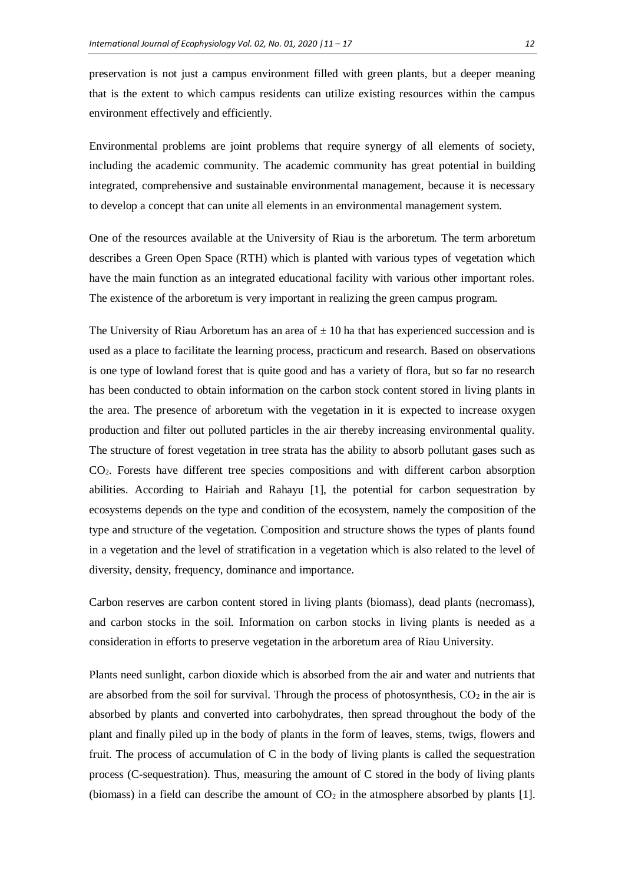preservation is not just a campus environment filled with green plants, but a deeper meaning that is the extent to which campus residents can utilize existing resources within the campus environment effectively and efficiently.

Environmental problems are joint problems that require synergy of all elements of society, including the academic community. The academic community has great potential in building integrated, comprehensive and sustainable environmental management, because it is necessary to develop a concept that can unite all elements in an environmental management system.

One of the resources available at the University of Riau is the arboretum. The term arboretum describes a Green Open Space (RTH) which is planted with various types of vegetation which have the main function as an integrated educational facility with various other important roles. The existence of the arboretum is very important in realizing the green campus program.

The University of Riau Arboretum has an area of  $\pm$  10 ha that has experienced succession and is used as a place to facilitate the learning process, practicum and research. Based on observations is one type of lowland forest that is quite good and has a variety of flora, but so far no research has been conducted to obtain information on the carbon stock content stored in living plants in the area. The presence of arboretum with the vegetation in it is expected to increase oxygen production and filter out polluted particles in the air thereby increasing environmental quality. The structure of forest vegetation in tree strata has the ability to absorb pollutant gases such as CO2. Forests have different tree species compositions and with different carbon absorption abilities. According to Hairiah and Rahayu [1], the potential for carbon sequestration by ecosystems depends on the type and condition of the ecosystem, namely the composition of the type and structure of the vegetation. Composition and structure shows the types of plants found in a vegetation and the level of stratification in a vegetation which is also related to the level of diversity, density, frequency, dominance and importance.

Carbon reserves are carbon content stored in living plants (biomass), dead plants (necromass), and carbon stocks in the soil. Information on carbon stocks in living plants is needed as a consideration in efforts to preserve vegetation in the arboretum area of Riau University.

Plants need sunlight, carbon dioxide which is absorbed from the air and water and nutrients that are absorbed from the soil for survival. Through the process of photosynthesis,  $CO<sub>2</sub>$  in the air is absorbed by plants and converted into carbohydrates, then spread throughout the body of the plant and finally piled up in the body of plants in the form of leaves, stems, twigs, flowers and fruit. The process of accumulation of C in the body of living plants is called the sequestration process (C-sequestration). Thus, measuring the amount of C stored in the body of living plants (biomass) in a field can describe the amount of  $CO<sub>2</sub>$  in the atmosphere absorbed by plants [1].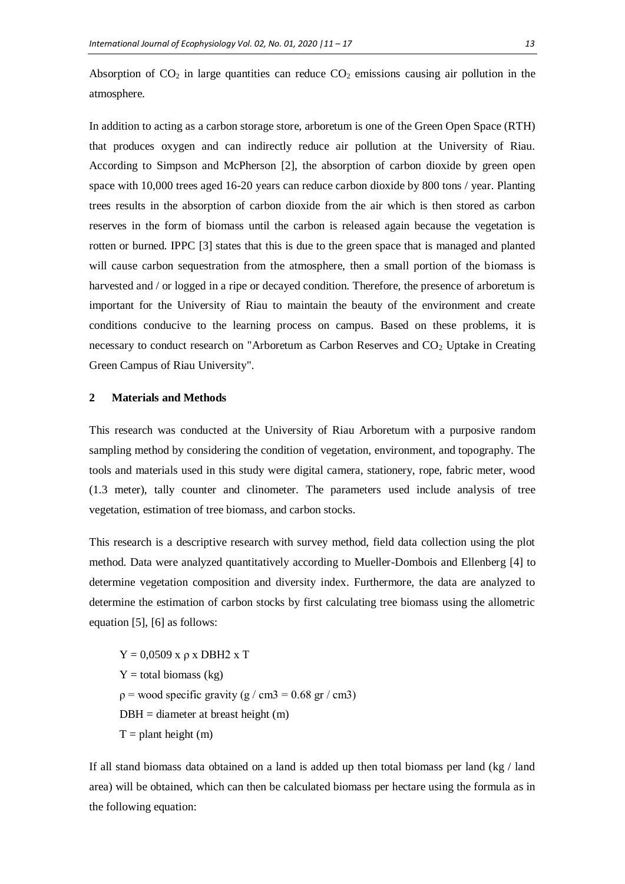Absorption of  $CO<sub>2</sub>$  in large quantities can reduce  $CO<sub>2</sub>$  emissions causing air pollution in the atmosphere.

In addition to acting as a carbon storage store, arboretum is one of the Green Open Space (RTH) that produces oxygen and can indirectly reduce air pollution at the University of Riau. According to Simpson and McPherson [2], the absorption of carbon dioxide by green open space with 10,000 trees aged 16-20 years can reduce carbon dioxide by 800 tons / year. Planting trees results in the absorption of carbon dioxide from the air which is then stored as carbon reserves in the form of biomass until the carbon is released again because the vegetation is rotten or burned. IPPC [3] states that this is due to the green space that is managed and planted will cause carbon sequestration from the atmosphere, then a small portion of the biomass is harvested and / or logged in a ripe or decayed condition. Therefore, the presence of arboretum is important for the University of Riau to maintain the beauty of the environment and create conditions conducive to the learning process on campus. Based on these problems, it is necessary to conduct research on "Arboretum as Carbon Reserves and  $CO<sub>2</sub>$  Uptake in Creating Green Campus of Riau University".

### **2 Materials and Methods**

This research was conducted at the University of Riau Arboretum with a purposive random sampling method by considering the condition of vegetation, environment, and topography. The tools and materials used in this study were digital camera, stationery, rope, fabric meter, wood (1.3 meter), tally counter and clinometer. The parameters used include analysis of tree vegetation, estimation of tree biomass, and carbon stocks.

This research is a descriptive research with survey method, field data collection using the plot method. Data were analyzed quantitatively according to Mueller-Dombois and Ellenberg [4] to determine vegetation composition and diversity index. Furthermore, the data are analyzed to determine the estimation of carbon stocks by first calculating tree biomass using the allometric equation [5], [6] as follows:

 $Y = 0.0509$  x  $\rho$  x DBH2 x T  $Y =$  total biomass (kg)  $p =$  wood specific gravity (g / cm3 = 0.68 gr / cm3)  $DBH =$  diameter at breast height  $(m)$  $T =$  plant height (m)

If all stand biomass data obtained on a land is added up then total biomass per land (kg / land area) will be obtained, which can then be calculated biomass per hectare using the formula as in the following equation: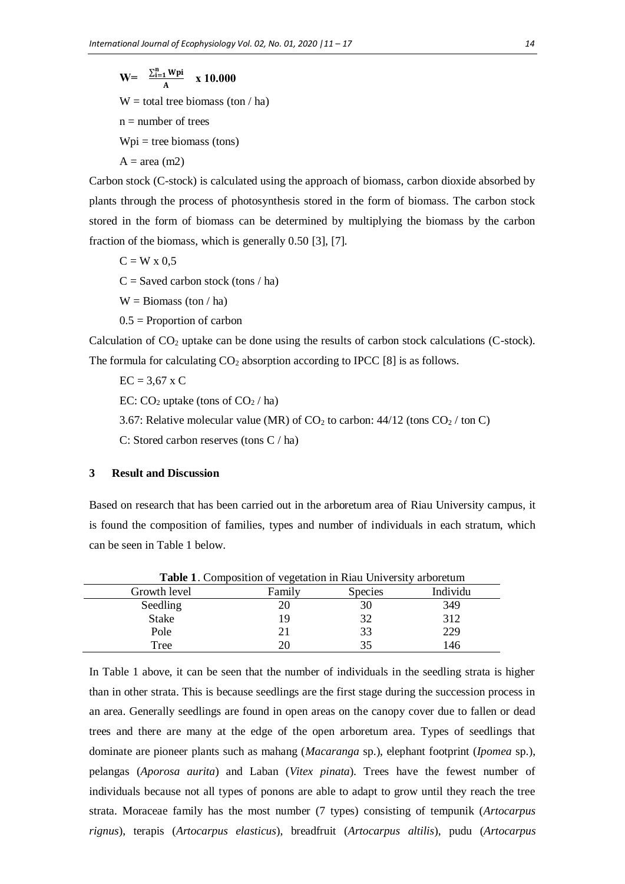$W = \frac{\sum_{i=1}^{n} Wpi}{\sum_{i=1}^{n} Wpi}$  $\frac{1}{A}$  **x** 10.000  $W =$  total tree biomass (ton / ha)  $n =$  number of trees  $Wpi =$  tree biomass (tons)

 $A = area (m2)$ 

Carbon stock (C-stock) is calculated using the approach of biomass, carbon dioxide absorbed by plants through the process of photosynthesis stored in the form of biomass. The carbon stock stored in the form of biomass can be determined by multiplying the biomass by the carbon fraction of the biomass, which is generally 0.50 [3], [7].

 $C = W \times 0.5$  $C =$  Saved carbon stock (tons / ha)

 $W = \text{Biomass (ton } / \text{ ha})$ 

 $0.5$  = Proportion of carbon

Calculation of  $CO<sub>2</sub>$  uptake can be done using the results of carbon stock calculations (C-stock). The formula for calculating  $CO_2$  absorption according to IPCC [8] is as follows.

 $EC = 3.67$  x C

EC:  $CO<sub>2</sub>$  uptake (tons of  $CO<sub>2</sub>$  / ha)

3.67: Relative molecular value (MR) of  $CO<sub>2</sub>$  to carbon:  $44/12$  (tons  $CO<sub>2</sub>$ /ton C)

C: Stored carbon reserves (tons C / ha)

## **3 Result and Discussion**

Based on research that has been carried out in the arboretum area of Riau University campus, it is found the composition of families, types and number of individuals in each stratum, which can be seen in Table 1 below.

| <b>Table 1.</b> Composition of vegetation in Riau University arboretum |        |                |          |  |  |
|------------------------------------------------------------------------|--------|----------------|----------|--|--|
| Growth level                                                           | Family | <b>Species</b> | Individu |  |  |
| Seedling                                                               |        | 30             | 349      |  |  |
| <b>Stake</b>                                                           |        | 32             | 312      |  |  |
| Pole                                                                   |        | 33             | 229      |  |  |
| Tree                                                                   |        | 35             | 146      |  |  |

In Table 1 above, it can be seen that the number of individuals in the seedling strata is higher than in other strata. This is because seedlings are the first stage during the succession process in an area. Generally seedlings are found in open areas on the canopy cover due to fallen or dead trees and there are many at the edge of the open arboretum area. Types of seedlings that dominate are pioneer plants such as mahang (*Macaranga* sp.), elephant footprint (*Ipomea* sp.), pelangas (*Aporosa aurita*) and Laban (*Vitex pinata*). Trees have the fewest number of individuals because not all types of ponons are able to adapt to grow until they reach the tree strata. Moraceae family has the most number (7 types) consisting of tempunik (*Artocarpus rignus*), terapis (*Artocarpus elasticus*), breadfruit (*Artocarpus altilis*), pudu (*Artocarpus*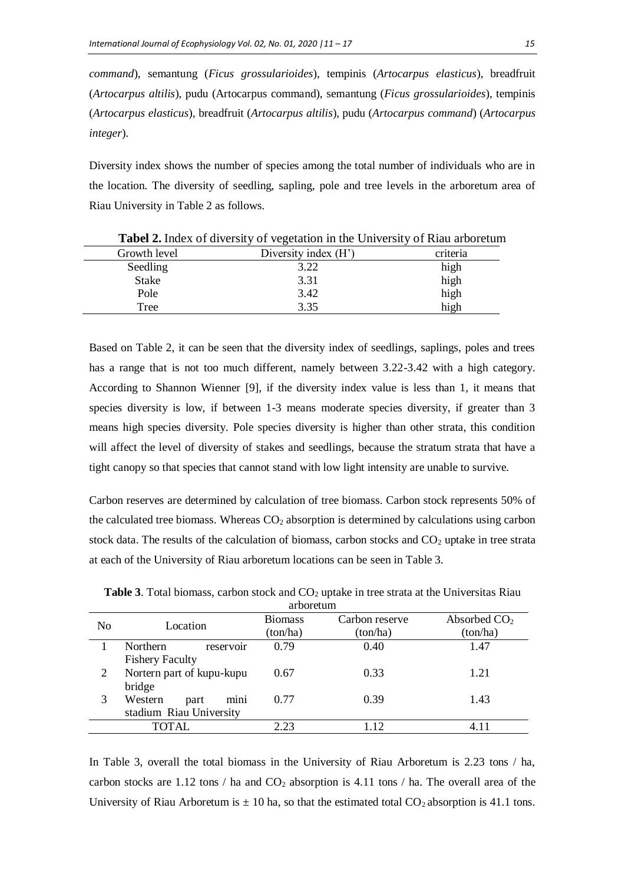*command*), semantung (*Ficus grossularioides*), tempinis (*Artocarpus elasticus*), breadfruit (*Artocarpus altilis*), pudu (Artocarpus command), semantung (*Ficus grossularioides*), tempinis (*Artocarpus elasticus*), breadfruit (*Artocarpus altilis*), pudu (*Artocarpus command*) (*Artocarpus integer*).

Diversity index shows the number of species among the total number of individuals who are in the location. The diversity of seedling, sapling, pole and tree levels in the arboretum area of Riau University in Table 2 as follows.

| Growth level | Diversity index (H') | criteria |
|--------------|----------------------|----------|
| Seedling     | 3.22                 | high     |
| <b>Stake</b> | 3.31                 | high     |
| Pole         | 3.42                 | high     |
| Tree         | 3.35                 | high     |

**Tabel 2.** Index of diversity of vegetation in the University of Riau arboretum

Based on Table 2, it can be seen that the diversity index of seedlings, saplings, poles and trees has a range that is not too much different, namely between 3.22-3.42 with a high category. According to Shannon Wienner [9], if the diversity index value is less than 1, it means that species diversity is low, if between 1-3 means moderate species diversity, if greater than 3 means high species diversity. Pole species diversity is higher than other strata, this condition will affect the level of diversity of stakes and seedlings, because the stratum strata that have a tight canopy so that species that cannot stand with low light intensity are unable to survive.

Carbon reserves are determined by calculation of tree biomass. Carbon stock represents 50% of the calculated tree biomass. Whereas CO<sub>2</sub> absorption is determined by calculations using carbon stock data. The results of the calculation of biomass, carbon stocks and  $CO<sub>2</sub>$  uptake in tree strata at each of the University of Riau arboretum locations can be seen in Table 3.

| al dol etum |                              |                |                |                |  |  |
|-------------|------------------------------|----------------|----------------|----------------|--|--|
| No          | Location                     | <b>Biomass</b> | Carbon reserve | Absorbed $CO2$ |  |  |
|             |                              | (ton/ha)       | (ton/ha)       | (ton/ha)       |  |  |
|             | <b>Northern</b><br>reservoir | 0.79           | 0.40           | 1.47           |  |  |
|             | <b>Fishery Faculty</b>       |                |                |                |  |  |
|             | Nortern part of kupu-kupu    | 0.67           | 0.33           | 1.21           |  |  |
|             | bridge                       |                |                |                |  |  |
| 3           | mini<br>Western<br>part      | 0.77           | 0.39           | 1.43           |  |  |
|             | stadium Riau University      |                |                |                |  |  |
|             | TOTAL                        | 2.23           | 1.12           | 4.11           |  |  |

**Table 3.** Total biomass, carbon stock and CO<sub>2</sub> uptake in tree strata at the Universitas Riau arboretum arboretum eta

In Table 3, overall the total biomass in the University of Riau Arboretum is 2.23 tons / ha, carbon stocks are 1.12 tons / ha and  $CO<sub>2</sub>$  absorption is 4.11 tons / ha. The overall area of the University of Riau Arboretum is  $\pm 10$  ha, so that the estimated total CO<sub>2</sub> absorption is 41.1 tons.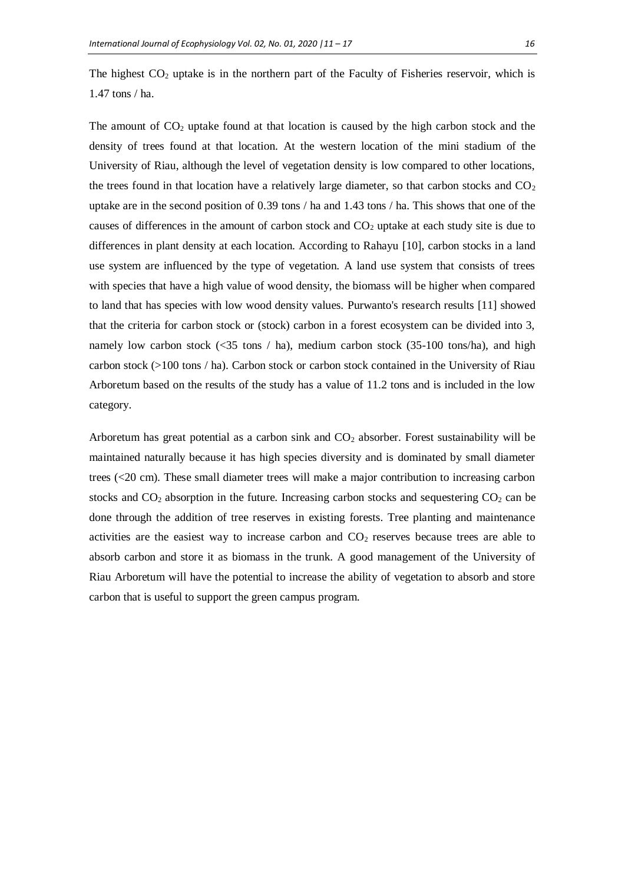The highest  $CO<sub>2</sub>$  uptake is in the northern part of the Faculty of Fisheries reservoir, which is 1.47 tons / ha.

The amount of  $CO<sub>2</sub>$  uptake found at that location is caused by the high carbon stock and the density of trees found at that location. At the western location of the mini stadium of the University of Riau, although the level of vegetation density is low compared to other locations, the trees found in that location have a relatively large diameter, so that carbon stocks and  $CO<sub>2</sub>$ uptake are in the second position of 0.39 tons / ha and 1.43 tons / ha. This shows that one of the causes of differences in the amount of carbon stock and CO<sup>2</sup> uptake at each study site is due to differences in plant density at each location. According to Rahayu [10], carbon stocks in a land use system are influenced by the type of vegetation. A land use system that consists of trees with species that have a high value of wood density, the biomass will be higher when compared to land that has species with low wood density values. Purwanto's research results [11] showed that the criteria for carbon stock or (stock) carbon in a forest ecosystem can be divided into 3, namely low carbon stock  $(\leq 35 \text{ tons} / \text{ha})$ , medium carbon stock  $(35-100 \text{ tons/ha})$ , and high carbon stock (>100 tons / ha). Carbon stock or carbon stock contained in the University of Riau Arboretum based on the results of the study has a value of 11.2 tons and is included in the low category.

Arboretum has great potential as a carbon sink and  $CO<sub>2</sub>$  absorber. Forest sustainability will be maintained naturally because it has high species diversity and is dominated by small diameter trees (<20 cm). These small diameter trees will make a major contribution to increasing carbon stocks and  $CO<sub>2</sub>$  absorption in the future. Increasing carbon stocks and sequestering  $CO<sub>2</sub>$  can be done through the addition of tree reserves in existing forests. Tree planting and maintenance activities are the easiest way to increase carbon and  $CO<sub>2</sub>$  reserves because trees are able to absorb carbon and store it as biomass in the trunk. A good management of the University of Riau Arboretum will have the potential to increase the ability of vegetation to absorb and store carbon that is useful to support the green campus program.